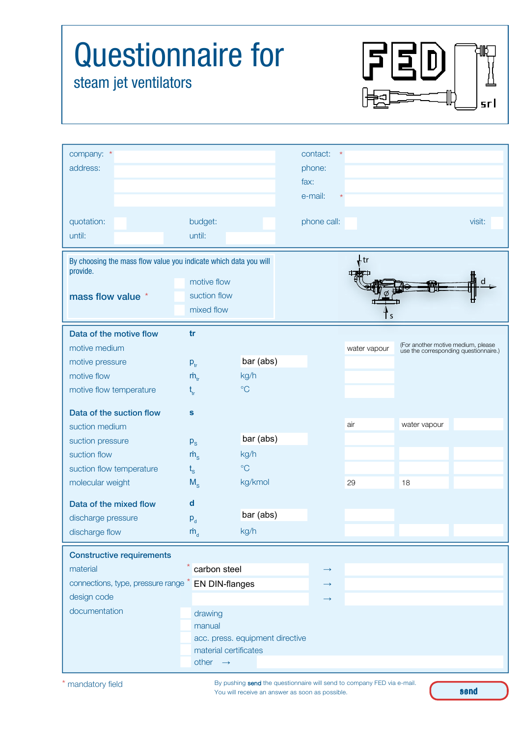| <b>Questionnaire for</b><br>steam jet ventilators                                                                                                                       |                         |                                                          |                                                 |              |                                    | sr I                                  |
|-------------------------------------------------------------------------------------------------------------------------------------------------------------------------|-------------------------|----------------------------------------------------------|-------------------------------------------------|--------------|------------------------------------|---------------------------------------|
| company: *<br>address:                                                                                                                                                  |                         |                                                          | contact:<br>phone:<br>fax:<br>e-mail:           |              |                                    |                                       |
| quotation:<br>until:                                                                                                                                                    | budget:<br>until:       |                                                          | phone call:                                     |              |                                    | visit:                                |
| By choosing the mass flow value you indicate which data you will<br>provide.<br>motive flow<br>suction flow<br>mass flow value *<br>mixed flow                          |                         |                                                          | , tr                                            |              |                                    |                                       |
| Data of the motive flow                                                                                                                                                 | tr                      |                                                          |                                                 |              |                                    |                                       |
| motive medium                                                                                                                                                           |                         |                                                          |                                                 | water vapour | (For another motive medium, please | use the corresponding questionnaire.) |
| motive pressure                                                                                                                                                         | $P_{tr}$                | bar (abs)                                                |                                                 |              |                                    |                                       |
| motive flow<br>motive flow temperature                                                                                                                                  | $\dot{m}_{\rm tr}$      | kg/h<br>$\rm ^{\circ}C$                                  |                                                 |              |                                    |                                       |
|                                                                                                                                                                         | $\mathfrak{t}_{\rm tr}$ |                                                          |                                                 |              |                                    |                                       |
| Data of the suction flow                                                                                                                                                | s                       |                                                          |                                                 |              |                                    |                                       |
| suction medium                                                                                                                                                          |                         |                                                          |                                                 | air          | water vapour                       |                                       |
| suction pressure                                                                                                                                                        | $P_{\rm S}$             | bar (abs)                                                |                                                 |              |                                    |                                       |
| suction flow                                                                                                                                                            | $\dot{m}_s$             | kg/h                                                     |                                                 |              |                                    |                                       |
| suction flow temperature                                                                                                                                                | $t_{\rm s}$             | $\rm ^{\circ}C$                                          |                                                 |              |                                    |                                       |
| molecular weight                                                                                                                                                        | $M_{\rm s}$             | kg/kmol                                                  |                                                 | 29           | 18                                 |                                       |
| Data of the mixed flow                                                                                                                                                  | $\mathbf d$             |                                                          |                                                 |              |                                    |                                       |
| discharge pressure                                                                                                                                                      | $P_d$                   | bar (abs)                                                |                                                 |              |                                    |                                       |
| discharge flow                                                                                                                                                          | $\dot{m}_{\rm d}$       | kg/h                                                     |                                                 |              |                                    |                                       |
| <b>Constructive requirements</b><br>carbon steel<br>material<br>connections, type, pressure range * EN DIN-flanges<br>design code<br>documentation<br>drawing<br>manual |                         |                                                          | $\rightarrow$<br>$\rightarrow$<br>$\rightarrow$ |              |                                    |                                       |
|                                                                                                                                                                         | other $\rightarrow$     | acc. press. equipment directive<br>material certificates |                                                 |              |                                    |                                       |

By pushing send the questionnaire will send to company FED via e-mail. You will receive an answer as soon as possible.

send